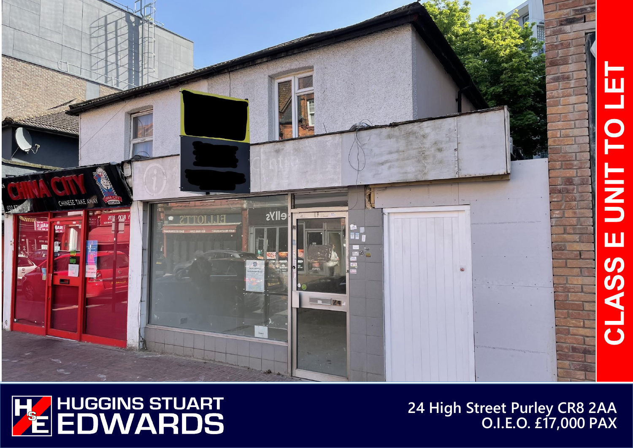



**24 High Street Purley CR8 2AA O.I.E.O. £17,000 PAX**